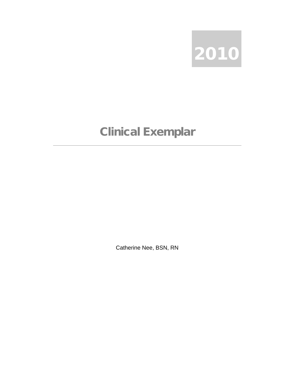

## Clinical Exemplar

Catherine Nee, BSN, RN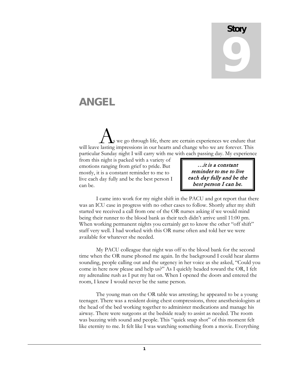## **Story** 9

## ANGEL

we go through life, there are certain experiences we endure that **A** we go through life, there are certain experiences we endure that will leave lasting impressions in our hearts and change who we are forever. This particular Sunday night I will carry with me with each passing day. My experience

from this night is packed with a variety of emotions ranging from grief to pride. But mostly, it is a constant reminder to me to live each day fully and be the best person I can be.

…it is a constant reminder to me to live each day fully and be the best person I can be.

I came into work for my night shift in the PACU and got report that there was an ICU case in progress with no other cases to follow. Shortly after my shift started we received a call from one of the OR nurses asking if we would mind being their runner to the blood bank as their tech didn't arrive until 11:00 pm. When working permanent nights you certainly get to know the other "off shift" staff very well. I had worked with this OR nurse often and told her we were available for whatever she needed.

My PACU colleague that night was off to the blood bank for the second time when the OR nurse phoned me again. In the background I could hear alarms sounding, people calling out and the urgency in her voice as she asked, "Could you come in here now please and help us?" As I quickly headed toward the OR, I felt my adrenaline rush as I put my hat on. When I opened the doors and entered the room, I knew I would never be the same person.

The young man on the OR table was arresting; he appeared to be a young teenager. There was a resident doing chest compressions, three anesthesiologists at the head of the bed working together to administer medications and manage his airway. There were surgeons at the bedside ready to assist as needed. The room was buzzing with sound and people. This "quick snap shot" of this moment felt like eternity to me. It felt like I was watching something from a movie. Everything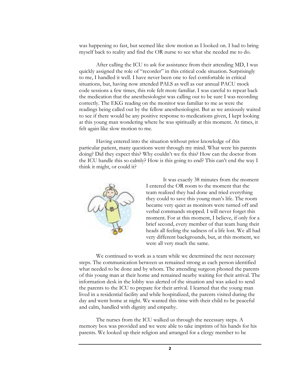was happening so fast, but seemed like slow motion as I looked on. I had to bring myself back to reality and find the OR nurse to see what she needed me to do.

After calling the ICU to ask for assistance from their attending MD, I was quickly assigned the role of "recorder" in this critical code situation. Surprisingly to me, I handled it well. I have never been one to feel comfortable in critical situations, but, having now attended PALS as well as our annual PACU mock code sessions a few times, this role felt more familiar. I was careful to repeat back the medication that the anesthesiologist was calling out to be sure I was recording correctly. The EKG reading on the monitor was familiar to me as were the readings being called out by the fellow anesthesiologist. But as we anxiously waited to see if there would be any positive response to medications given, I kept looking at this young man wondering where he was spiritually at this moment. At times, it felt again like slow motion to me.

Having entered into the situation without prior knowledge of this particular patient, many questions went through my mind. What were his parents doing? Did they expect this? Why couldn't we fix this? How can the doctor from the ICU handle this so calmly? How is this going to end? This can't end the way I think it might, or could it?



It was exactly 38 minutes from the moment I entered the OR room to the moment that the team realized they had done and tried everything they could to save this young man's life. The room became very quiet as monitors were turned off and verbal commands stopped. I will never forget this moment. For at this moment, I believe, if only for a brief second, every member of that team hung their heads all feeling the sadness of a life lost. We all had very different backgrounds, but, at this moment, we were all very much the same.

We continued to work as a team while we determined the next necessary steps. The communication between us remained strong as each person identified what needed to be done and by whom. The attending surgeon phoned the parents of this young man at their home and remained nearby waiting for their arrival. The information desk in the lobby was alerted of the situation and was asked to send the parents to the ICU to prepare for their arrival. I learned that the young man lived in a residential facility and while hospitalized, the parents visited during the day and went home at night. We wanted this time with their child to be peaceful and calm, handled with dignity and empathy.

The nurses from the ICU walked us through the necessary steps. A memory box was provided and we were able to take imprints of his hands for his parents. We looked up their religion and arranged for a clergy member to be